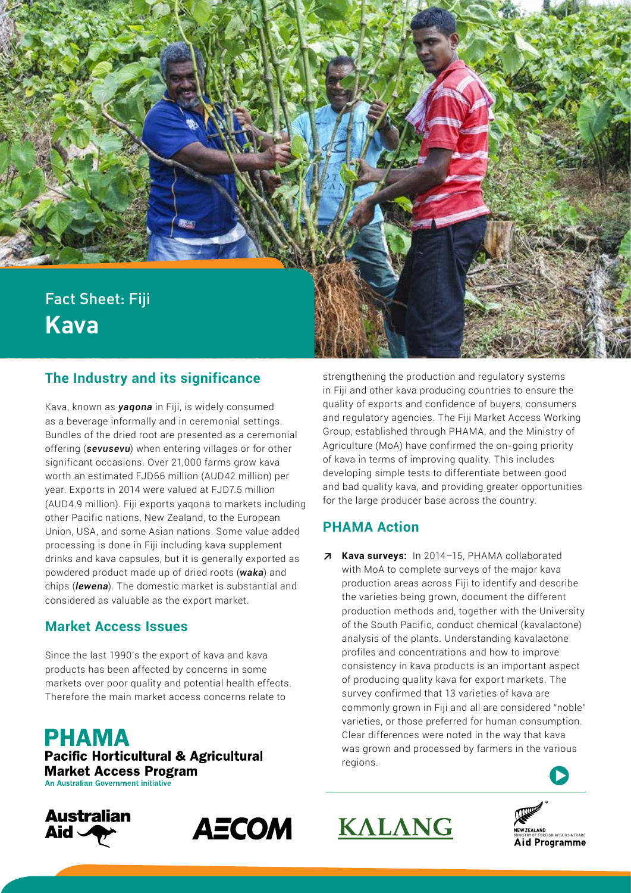

## **The Industry and its significance**

Kava, known as *yaqona* in Fiji, is widely consumed as a beverage informally and in ceremonial settings. Bundles of the dried root are presented as a ceremonial offering (*sevusevu*) when entering villages or for other significant occasions. Over 21,000 farms grow kava worth an estimated FJD66 million (AUD42 million) per year. Exports in 2014 were valued at FJD7.5 million (AUD4.9 million). Fiji exports yaqona to markets including other Pacific nations, New Zealand, to the European Union, USA, and some Asian nations. Some value added processing is done in Fiji including kava supplement drinks and kava capsules, but it is generally exported as powdered product made up of dried roots (*waka*) and chips (*lewena*). The domestic market is substantial and considered as valuable as the export market.

#### **Market Access Issues**

Since the last 1990's the export of kava and kava products has been affected by concerns in some markets over poor quality and potential health effects. Therefore the main market access concerns relate to

**PHAMA Pacific Horticultural & Agricultural Market Access Program** An Australian Government initiative





strengthening the production and regulatory systems in Fiji and other kava producing countries to ensure the quality of exports and confidence of buyers, consumers and regulatory agencies. The Fiji Market Access Working Group, established through PHAMA, and the Ministry of Agriculture (MoA) have confirmed the on-going priority of kava in terms of improving quality. This includes developing simple tests to differentiate between good and bad quality kava, and providing greater opportunities for the large producer base across the country.

### **PHAMA Action**

**↗ Kava surveys:** In 2014–15, PHAMA collaborated with MoA to complete surveys of the major kava production areas across Fiji to identify and describe the varieties being grown, document the different production methods and, together with the University of the South Pacific, conduct chemical (kavalactone) analysis of the plants. Understanding kavalactone profiles and concentrations and how to improve consistency in kava products is an important aspect of producing quality kava for export markets. The survey confirmed that 13 varieties of kava are commonly grown in Fiji and all are considered "noble" varieties, or those preferred for human consumption. Clear differences were noted in the way that kava was grown and processed by farmers in the various regions.